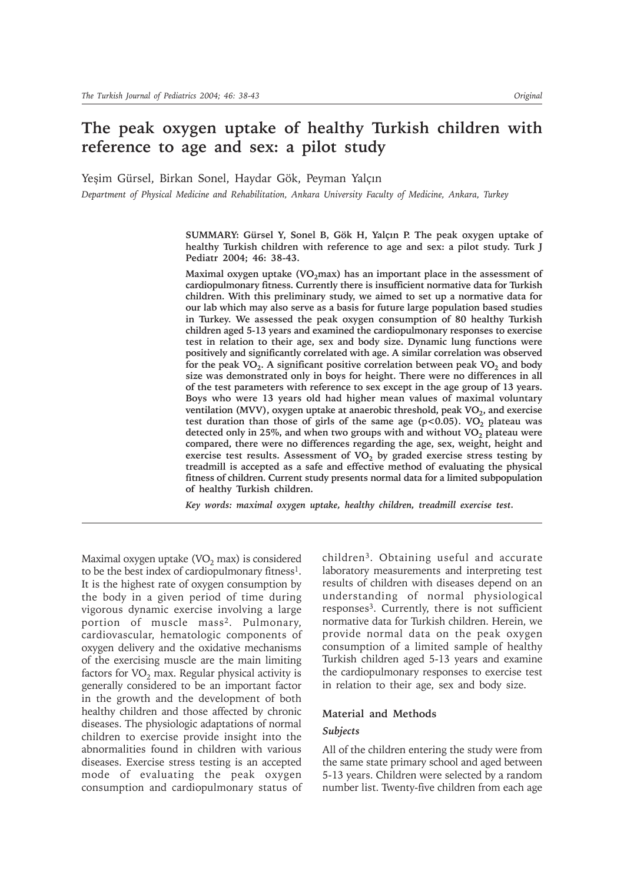# **The peak oxygen uptake of healthy Turkish children with reference to age and sex: a pilot study**

Yeşim Gürsel, Birkan Sonel, Haydar Gök, Peyman Yalçın

*Department of Physical Medicine and Rehabilitation, Ankara University Faculty of Medicine, Ankara, Turkey*

SUMMARY: Gürsel Y, Sonel B, Gök H, Yalçın P. The peak oxygen uptake of **healthy Turkish children with reference to age and sex: a pilot study. Turk J Pediatr 2004; 46: 38-43.**

**Maximal oxygen uptake (VO<sub>2</sub>max) has an important place in the assessment of cardiopulmonary fitness. Currently there is insufficient normative data for Turkish children. With this preliminary study, we aimed to set up a normative data for our lab which may also serve as a basis for future large population based studies in Turkey. We assessed the peak oxygen consumption of 80 healthy Turkish children aged 5-13 years and examined the cardiopulmonary responses to exercise test in relation to their age, sex and body size. Dynamic lung functions were positively and significantly correlated with age. A similar correlation was observed** for the peak VO<sub>2</sub>. A significant positive correlation between peak VO<sub>2</sub> and body **size was demonstrated only in boys for height. There were no differences in all of the test parameters with reference to sex except in the age group of 13 years. Boys who were 13 years old had higher mean values of maximal voluntary** ventilation (MVV), oxygen uptake at anaerobic threshold, peak VO<sub>2</sub>, and exercise test duration than those of girls of the same age  $(p<0.05)$ . VO<sub>2</sub> plateau was detected only in 25%, and when two groups with and without VO<sub>2</sub> plateau were **compared, there were no differences regarding the age, sex, weight, height and** exercise test results. Assessment of  $VO<sub>2</sub>$  by graded exercise stress testing by **treadmill is accepted as a safe and effective method of evaluating the physical fitness of children. Current study presents normal data for a limited subpopulation of healthy Turkish children.**

*Key words: maximal oxygen uptake, healthy children, treadmill exercise test.*

Maximal oxygen uptake  $(VO<sub>2</sub>$  max) is considered to be the best index of cardiopulmonary fitness1. It is the highest rate of oxygen consumption by the body in a given period of time during vigorous dynamic exercise involving a large portion of muscle mass2. Pulmonary, cardiovascular, hematologic components of oxygen delivery and the oxidative mechanisms of the exercising muscle are the main limiting factors for  $VO<sub>2</sub>$  max. Regular physical activity is generally considered to be an important factor in the growth and the development of both healthy children and those affected by chronic diseases. The physiologic adaptations of normal children to exercise provide insight into the abnormalities found in children with various diseases. Exercise stress testing is an accepted mode of evaluating the peak oxygen consumption and cardiopulmonary status of children3. Obtaining useful and accurate laboratory measurements and interpreting test results of children with diseases depend on an understanding of normal physiological responses3. Currently, there is not sufficient normative data for Turkish children. Herein, we provide normal data on the peak oxygen consumption of a limited sample of healthy Turkish children aged 5-13 years and examine the cardiopulmonary responses to exercise test in relation to their age, sex and body size.

#### **Material and Methods**

#### *Subjects*

All of the children entering the study were from the same state primary school and aged between 5-13 years. Children were selected by a random number list. Twenty-five children from each age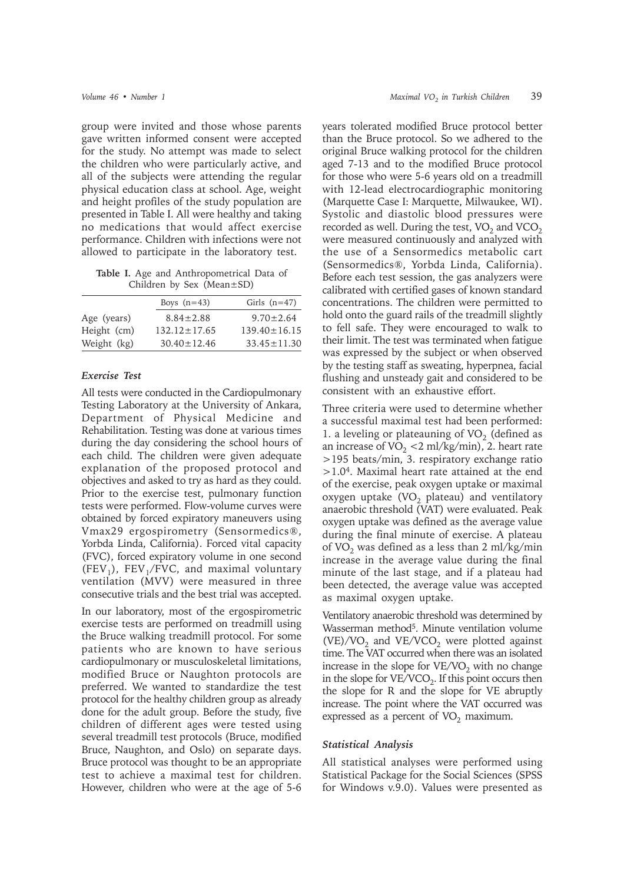group were invited and those whose parents gave written informed consent were accepted for the study. No attempt was made to select the children who were particularly active, and all of the subjects were attending the regular physical education class at school. Age, weight and height profiles of the study population are presented in Table I. All were healthy and taking no medications that would affect exercise performance. Children with infections were not allowed to participate in the laboratory test.

**Table I.** Age and Anthropometrical Data of Children by Sex (Mean±SD)

| Boys $(n=43)$      | Girls $(n=47)$     |  |  |
|--------------------|--------------------|--|--|
| $8.84 \pm 2.88$    | $9.70 \pm 2.64$    |  |  |
| $132.12 \pm 17.65$ | $139.40 \pm 16.15$ |  |  |
| $30.40 \pm 12.46$  | $33.45 \pm 11.30$  |  |  |
|                    |                    |  |  |

### *Exercise Test*

All tests were conducted in the Cardiopulmonary Testing Laboratory at the University of Ankara, Department of Physical Medicine and Rehabilitation. Testing was done at various times during the day considering the school hours of each child. The children were given adequate explanation of the proposed protocol and objectives and asked to try as hard as they could. Prior to the exercise test, pulmonary function tests were performed. Flow-volume curves were obtained by forced expiratory maneuvers using Vmax29 ergospirometry (Sensormedics®, Yorbda Linda, California). Forced vital capacity (FVC), forced expiratory volume in one second (FEV<sub>1</sub>), FEV<sub>1</sub>/FVC, and maximal voluntary ventilation (MVV) were measured in three consecutive trials and the best trial was accepted.

In our laboratory, most of the ergospirometric exercise tests are performed on treadmill using the Bruce walking treadmill protocol. For some patients who are known to have serious cardiopulmonary or musculoskeletal limitations, modified Bruce or Naughton protocols are preferred. We wanted to standardize the test protocol for the healthy children group as already done for the adult group. Before the study, five children of different ages were tested using several treadmill test protocols (Bruce, modified Bruce, Naughton, and Oslo) on separate days. Bruce protocol was thought to be an appropriate test to achieve a maximal test for children. However, children who were at the age of 5-6

years tolerated modified Bruce protocol better than the Bruce protocol. So we adhered to the original Bruce walking protocol for the children aged 7-13 and to the modified Bruce protocol for those who were 5-6 years old on a treadmill with 12-lead electrocardiographic monitoring (Marquette Case I: Marquette, Milwaukee, WI). Systolic and diastolic blood pressures were recorded as well. During the test,  $VO<sub>2</sub>$  and  $VCO<sub>2</sub>$ were measured continuously and analyzed with the use of a Sensormedics metabolic cart (Sensormedics®, Yorbda Linda, California). Before each test session, the gas analyzers were calibrated with certified gases of known standard concentrations. The children were permitted to hold onto the guard rails of the treadmill slightly to fell safe. They were encouraged to walk to their limit. The test was terminated when fatigue was expressed by the subject or when observed by the testing staff as sweating, hyperpnea, facial flushing and unsteady gait and considered to be consistent with an exhaustive effort.

Three criteria were used to determine whether a successful maximal test had been performed: 1. a leveling or plateauning of  $VO<sub>2</sub>$  (defined as an increase of  $VO_2 < 2$  ml/kg/min), 2. heart rate >195 beats/min, 3. respiratory exchange ratio  $>1.04$ . Maximal heart rate attained at the end of the exercise, peak oxygen uptake or maximal oxygen uptake  $(VO<sub>2</sub>)$  plateau) and ventilatory anaerobic threshold (VAT) were evaluated. Peak oxygen uptake was defined as the average value during the final minute of exercise. A plateau of VO<sub>2</sub> was defined as a less than 2 ml/kg/min increase in the average value during the final minute of the last stage, and if a plateau had been detected, the average value was accepted as maximal oxygen uptake.

Ventilatory anaerobic threshold was determined by Wasserman method<sup>5</sup>. Minute ventilation volume  $(VE)/VO<sub>2</sub>$  and  $VE/VCO<sub>2</sub>$  were plotted against time. The VAT occurred when there was an isolated increase in the slope for  $VE/VO<sub>2</sub>$  with no change in the slope for  $VE/VCO<sub>2</sub>$ . If this point occurs then the slope for R and the slope for VE abruptly increase. The point where the VAT occurred was expressed as a percent of  $VO<sub>2</sub>$  maximum.

#### *Statistical Analysis*

All statistical analyses were performed using Statistical Package for the Social Sciences (SPSS for Windows v.9.0). Values were presented as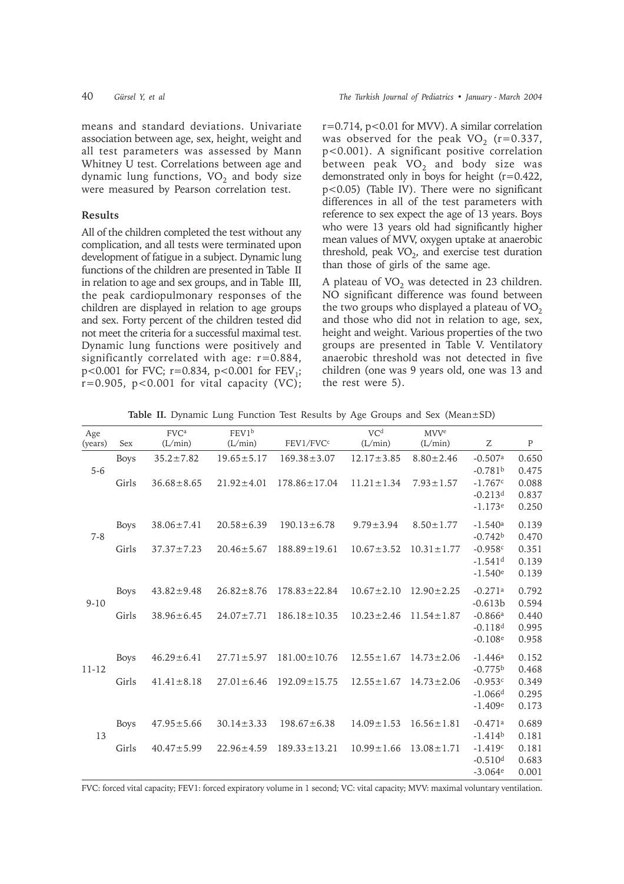means and standard deviations. Univariate association between age, sex, height, weight and all test parameters was assessed by Mann Whitney U test. Correlations between age and dynamic lung functions,  $VO<sub>2</sub>$  and body size were measured by Pearson correlation test.

# **Results**

All of the children completed the test without any complication, and all tests were terminated upon development of fatigue in a subject. Dynamic lung functions of the children are presented in Table II in relation to age and sex groups, and in Table III, the peak cardiopulmonary responses of the children are displayed in relation to age groups and sex. Forty percent of the children tested did not meet the criteria for a successful maximal test. Dynamic lung functions were positively and significantly correlated with age:  $r=0.884$ , p<0.001 for FVC;  $r=0.834$ ,  $p<0.001$  for  $FEV_1$ ;  $r=0.905$ ,  $p<0.001$  for vital capacity (VC); r=0.714, p<0.01 for MVV). A similar correlation was observed for the peak  $VO_2$  (r=0.337, p<0.001). A significant positive correlation between peak  $VO<sub>2</sub>$  and body size was demonstrated only in boys for height (r=0.422, p<0.05) (Table IV). There were no significant differences in all of the test parameters with reference to sex expect the age of 13 years. Boys who were 13 years old had significantly higher mean values of MVV, oxygen uptake at anaerobic threshold, peak  $VO<sub>2</sub>$ , and exercise test duration than those of girls of the same age.

A plateau of  $VO<sub>2</sub>$  was detected in 23 children. NO significant difference was found between the two groups who displayed a plateau of  $VO<sub>2</sub>$ and those who did not in relation to age, sex, height and weight. Various properties of the two groups are presented in Table V. Ventilatory anaerobic threshold was not detected in five children (one was 9 years old, one was 13 and the rest were 5).

|  |  |  |  |  |  |  |  |  |  |  |  | Table II. Dynamic Lung Function Test Results by Age Groups and Sex (Mean±SD) |  |
|--|--|--|--|--|--|--|--|--|--|--|--|------------------------------------------------------------------------------|--|
|--|--|--|--|--|--|--|--|--|--|--|--|------------------------------------------------------------------------------|--|

| Age<br>(years) | Sex         | FVC <sup>a</sup><br>(L/min) | FEV1b<br>(L/min) | FEV1/FVCc          | VC <sup>d</sup><br>(L/min) | <b>MVV<sup>e</sup></b><br>(L/min) | Ζ                                               | $\mathbf{P}$            |
|----------------|-------------|-----------------------------|------------------|--------------------|----------------------------|-----------------------------------|-------------------------------------------------|-------------------------|
| $5 - 6$        | <b>Boys</b> | $35.2 \pm 7.82$             | $19.65 \pm 5.17$ | $169.38 \pm 3.07$  | $12.17 \pm 3.85$           | $8.80 \pm 2.46$                   | $-0.507a$<br>$-0.781b$                          | 0.650<br>0.475          |
|                | Girls       | $36.68 \pm 8.65$            | $21.92 \pm 4.01$ | $178.86 \pm 17.04$ | $11.21 \pm 1.34$           | $7.93 \pm 1.57$                   | $-1.767c$<br>$-0.213$ <sup>d</sup><br>$-1.173e$ | 0.088<br>0.837<br>0.250 |
| $7 - 8$        | <b>Boys</b> | $38.06 \pm 7.41$            | $20.58 \pm 6.39$ | $190.13 \pm 6.78$  | $9.79 \pm 3.94$            | $8.50 \pm 1.77$                   | $-1.540a$<br>$-0.742b$                          | 0.139<br>0.470          |
|                | Girls       | $37.37 \pm 7.23$            | $20.46 \pm 5.67$ | $188.89 \pm 19.61$ | $10.67 \pm 3.52$           | $10.31 \pm 1.77$                  | $-0.958c$<br>$-1.541$ <sup>d</sup><br>$-1.540e$ | 0.351<br>0.139<br>0.139 |
| $9 - 10$       | <b>Boys</b> | $43.82 \pm 9.48$            | $26.82 \pm 8.76$ | $178.83 \pm 22.84$ | $10.67 \pm 2.10$           | $12.90 \pm 2.25$                  | $-0.271a$<br>$-0.613b$                          | 0.792<br>0.594          |
|                | Girls       | $38.96 \pm 6.45$            | $24.07 \pm 7.71$ | $186.18 \pm 10.35$ | $10.23 \pm 2.46$           | $11.54 \pm 1.87$                  | $-0.866a$<br>$-0.118d$<br>$-0.108e$             | 0.440<br>0.995<br>0.958 |
| $11 - 12$      | <b>Boys</b> | $46.29 \pm 6.41$            | $27.71 \pm 5.97$ | $181.00 \pm 10.76$ | $12.55 \pm 1.67$           | $14.73 \pm 2.06$                  | $-1.446a$<br>$-0.775b$                          | 0.152<br>0.468          |
|                | Girls       | $41.41 \pm 8.18$            | $27.01 \pm 6.46$ | $192.09 \pm 15.75$ | $12.55 \pm 1.67$           | $14.73 \pm 2.06$                  | $-0.953c$<br>$-1.066d$<br>$-1.409e$             | 0.349<br>0.295<br>0.173 |
| 13             | <b>Boys</b> | $47.95 \pm 5.66$            | $30.14 \pm 3.33$ | $198.67 \pm 6.38$  | $14.09 \pm 1.53$           | $16.56 \pm 1.81$                  | $-0.471a$<br>$-1.414b$                          | 0.689<br>0.181          |
|                | Girls       | $40.47 \pm 5.99$            | $22.96 \pm 4.59$ | $189.33 \pm 13.21$ | $10.99 \pm 1.66$           | $13.08 \pm 1.71$                  | $-1.419c$<br>$-0.510d$<br>$-3.064e$             | 0.181<br>0.683<br>0.001 |

FVC: forced vital capacity; FEV1: forced expiratory volume in 1 second; VC: vital capacity; MVV: maximal voluntary ventilation.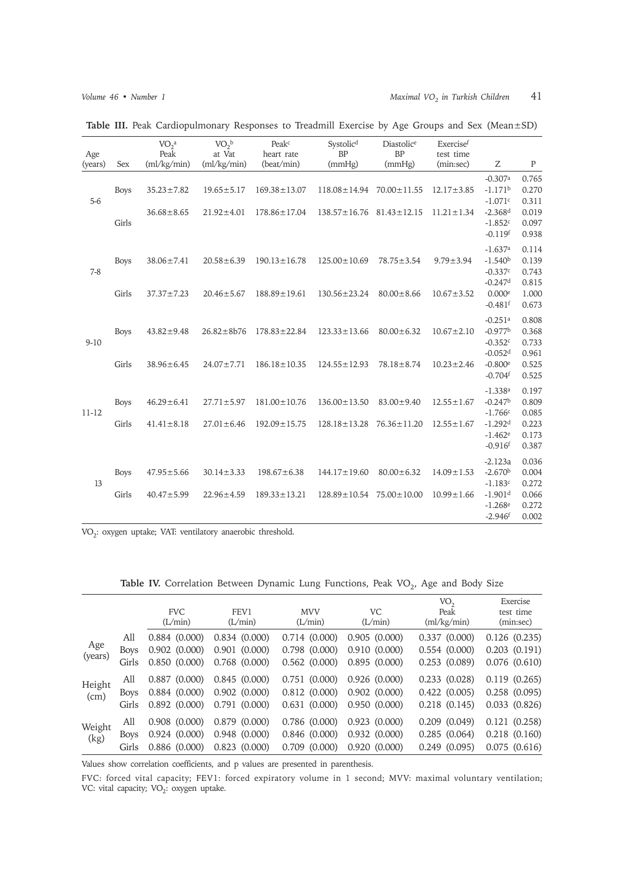| Age<br>(years) | Sex         | VO <sub>2</sub> <sup>a</sup><br>Peak<br>(ml/kg/min) | $VO2$ <sub>b</sub><br>at Vat<br>(ml/kg/min) | Peak <sup>c</sup><br>heart rate<br>(beat/min) | Systolic <sup>d</sup><br><b>BP</b><br>(mmHg) | Diastolice<br><b>BP</b><br>(mmHg) | Exercisef<br>test time<br>(min:sec) | Ζ                                                        | $\mathbf{P}$                     |
|----------------|-------------|-----------------------------------------------------|---------------------------------------------|-----------------------------------------------|----------------------------------------------|-----------------------------------|-------------------------------------|----------------------------------------------------------|----------------------------------|
| $5-6$          | <b>Boys</b> | $35.23 \pm 7.82$                                    | $19.65 \pm 5.17$                            | $169.38 \pm 13.07$                            | $118.08 \pm 14.94$                           | $70.00 \pm 11.55$                 | $12.17 \pm 3.85$                    | $-0.307a$<br>$-1.171b$<br>$-1.071c$                      | 0.765<br>0.270<br>0.311          |
|                | Girls       | $36.68 \pm 8.65$                                    | $21.92 \pm 4.01$                            | $178.86 \pm 17.04$                            | $138.57 \pm 16.76$                           | $81.43 \pm 12.15$                 | $11.21 \pm 1.34$                    | $-2.368d$<br>$-1.852c$<br>$-0.119$ f                     | 0.019<br>0.097<br>0.938          |
| $7-8$          | <b>Boys</b> | $38.06 \pm 7.41$                                    | $20.58 \pm 6.39$                            | $190.13 \pm 16.78$                            | $125.00 \pm 10.69$                           | $78.75 \pm 3.54$                  | $9.79 \pm 3.94$                     | $-1.637a$<br>$-1.540b$<br>$-0.337c$                      | 0.114<br>0.139<br>0.743          |
|                | Girls       | $37.37 \pm 7.23$                                    | $20.46 \pm 5.67$                            | $188.89 \pm 19.61$                            | $130.56 \pm 23.24$                           | $80.00 \pm 8.66$                  | $10.67 \pm 3.52$                    | $-0.247$ <sup>d</sup><br>0.000e<br>$-0.481$ <sup>f</sup> | 0.815<br>1.000<br>0.673          |
| $9-10$         | <b>Boys</b> | $43.82 \pm 9.48$                                    | $26.82 \pm 8b76$                            | $178.83 \pm 22.84$                            | $123.33 \pm 13.66$                           | $80.00 \pm 6.32$                  | $10.67 \pm 2.10$                    | $-0.251a$<br>$-0.977b$<br>$-0.352c$<br>$-0.052d$         | 0.808<br>0.368<br>0.733<br>0.961 |
|                | Girls       | $38.96 \pm 6.45$                                    | $24.07 \pm 7.71$                            | $186.18 \pm 10.35$                            | $124.55 \pm 12.93$                           | $78.18 \pm 8.74$                  | $10.23 \pm 2.46$                    | $-0.800$ <sup>e</sup><br>$-0.704$ <sup>f</sup>           | 0.525<br>0.525                   |
| $11 - 12$      | <b>Boys</b> | $46.29 \pm 6.41$                                    | $27.71 \pm 5.97$                            | $181.00 \pm 10.76$                            | $136.00 \pm 13.50$                           | $83.00 \pm 9.40$                  | $12.55 \pm 1.67$                    | $-1.338a$<br>$-0.247b$<br>$-1.766c$                      | 0.197<br>0.809<br>0.085          |
|                | Girls       | $41.41 \pm 8.18$                                    | $27.01 \pm 6.46$                            | $192.09 \pm 15.75$                            | $128.18 \pm 13.28$                           | $76.36 \pm 11.20$                 | $12.55 \pm 1.67$                    | $-1.292d$<br>$-1.462e$<br>$-0.916$ <sup>f</sup>          | 0.223<br>0.173<br>0.387          |
| 13             | <b>Boys</b> | $47.95 \pm 5.66$                                    | $30.14 \pm 3.33$                            | $198.67 \pm 6.38$                             | $144.17 \pm 19.60$                           | $80.00 \pm 6.32$                  | $14.09 \pm 1.53$                    | $-2.123a$<br>$-2.670b$<br>$-1.183c$                      | 0.036<br>0.004<br>0.272          |
|                | Girls       | $40.47 \pm 5.99$                                    | $22.96 \pm 4.59$                            | $189.33 \pm 13.21$                            | $128.89 \pm 10.54$                           | $75.00 \pm 10.00$                 | $10.99 \pm 1.66$                    | $-1.901d$<br>$-1.268e$<br>$-2.946$ <sup>f</sup>          | 0.066<br>0.272<br>0.002          |

Table III. Peak Cardiopulmonary Responses to Treadmill Exercise by Age Groups and Sex (Mean±SD)

VO2: oxygen uptake; VAT: ventilatory anaerobic threshold.

Table IV. Correlation Between Dynamic Lung Functions, Peak VO<sub>2</sub>, Age and Body Size

|                |             | <b>FVC</b><br>(L/min) | FEV1<br>(L/min) | <b>MVV</b><br>(L/min) | VC<br>(L/min) | VO,<br>Peak<br>$\text{m}/\text{kg}/\text{min}$ | Exercise<br>test time<br>(min:sec) |
|----------------|-------------|-----------------------|-----------------|-----------------------|---------------|------------------------------------------------|------------------------------------|
|                | All         | 0.884(0.000)          | 0.834(0.000)    | 0.714(0.000)          | 0.905(0.000)  | 0.337(0.000)                                   | 0.126(0.235)                       |
| Age            | <b>Boys</b> | 0.902(0.000)          | 0.901(0.000)    | 0.798(0.000)          | 0.910(0.000)  | 0.554(0.000)                                   | $0.203$ $(0.191)$                  |
| (years)        | Girls       | 0.850(0.000)          | 0.768(0.000)    | 0.562(0.000)          | 0.895(0.000)  | 0.253(0.089)                                   | $0.076$ $(0.610)$                  |
|                | All         | 0.887(0.000)          | 0.845(0.000)    | 0.751(0.000)          | 0.926(0.000)  | 0.233(0.028)                                   | 0.119(0.265)                       |
| Height<br>(cm) | Boys        | 0.884(0.000)          | 0.902(0.000)    | 0.812(0.000)          | 0.902(0.000)  | 0.422(0.005)                                   | 0.258(0.095)                       |
|                | Girls       | 0.892(0.000)          | 0.791(0.000)    | 0.631(0.000)          | 0.950(0.000)  | 0.218(0.145)                                   | 0.033(0.826)                       |
| Weight<br>(kg) | All         | $0.908$ $(0.000)$     | 0.879(0.000)    | 0.786(0.000)          | 0.923(0.000)  | $0.209$ $(0.049)$                              | 0.121(0.258)                       |
|                | Boys        | 0.924(0.000)          | 0.948(0.000)    | 0.846(0.000)          | 0.932(0.000)  | 0.285(0.064)                                   | $0.218$ $(0.160)$                  |
|                | Girls       | 0.886(0.000)          | 0.823(0.000)    | $0.709$ $(0.000)$     | 0.920(0.000)  | 0.249(0.095)                                   | 0.075(0.616)                       |

Values show correlation coefficients, and p values are presented in parenthesis.

FVC: forced vital capacity; FEV1: forced expiratory volume in 1 second; MVV: maximal voluntary ventilation; VC: vital capacity;  $VO_2$ : oxygen uptake.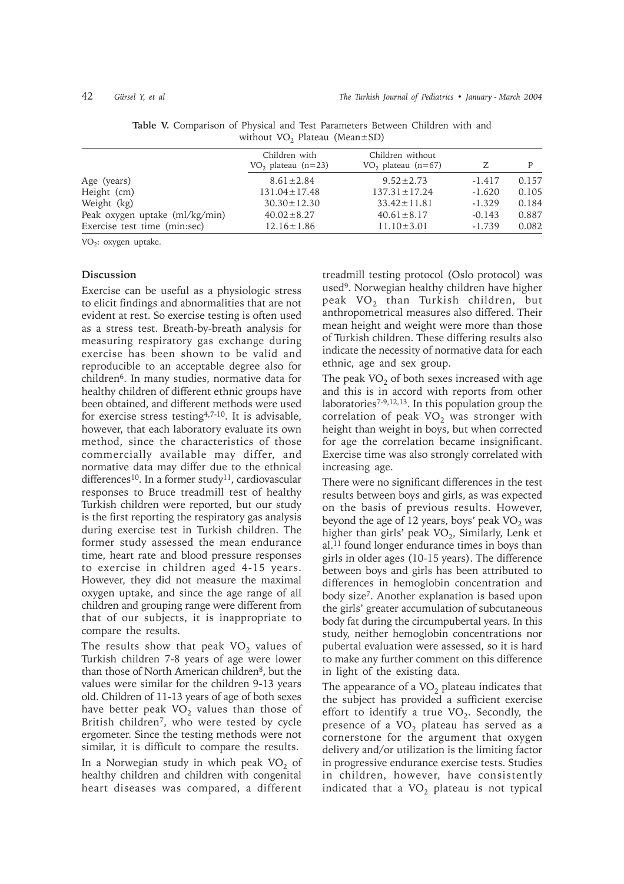|                                | Children with<br>$VO_2$ plateau (n=23) | Children without<br>$VO2$ plateau (n=67) |          | P     |
|--------------------------------|----------------------------------------|------------------------------------------|----------|-------|
| Age (years)                    | $8.61 \pm 2.84$                        | $9.52 \pm 2.73$                          | $-1.417$ | 0.157 |
| Height (cm)                    | $131.04 \pm 17.48$                     | $137.31 \pm 17.24$                       | $-1.620$ | 0.105 |
| Weight (kg)                    | $30.30 \pm 12.30$                      | $33.42 \pm 11.81$                        | $-1.329$ | 0.184 |
| Peak oxygen uptake (ml/kg/min) | $40.02 \pm 8.27$                       | $40.61 \pm 8.17$                         | $-0.143$ | 0.887 |
| Exercise test time (min:sec)   | $12.16 \pm 1.86$                       | $11.10 \pm 3.01$                         | $-1.739$ | 0.082 |

**Table V.** Comparison of Physical and Test Parameters Between Children with and without  $VO<sub>2</sub>$  Plateau (Mean $\pm$ SD)

VO<sub>2</sub>: oxygen uptake.

# **Discussion**

Exercise can be useful as a physiologic stress to elicit findings and abnormalities that are not evident at rest. So exercise testing is often used as a stress test. Breath-by-breath analysis for measuring respiratory gas exchange during exercise has been shown to be valid and reproducible to an acceptable degree also for children6. In many studies, normative data for healthy children of different ethnic groups have been obtained, and different methods were used for exercise stress testing4,7-10. It is advisable, however, that each laboratory evaluate its own method, since the characteristics of those commercially available may differ, and normative data may differ due to the ethnical differences<sup>10</sup>. In a former study<sup>11</sup>, cardiovascular responses to Bruce treadmill test of healthy Turkish children were reported, but our study is the first reporting the respiratory gas analysis during exercise test in Turkish children. The former study assessed the mean endurance time, heart rate and blood pressure responses to exercise in children aged 4-15 years. However, they did not measure the maximal oxygen uptake, and since the age range of all children and grouping range were different from that of our subjects, it is inappropriate to compare the results.

The results show that peak  $VO<sub>2</sub>$  values of Turkish children 7-8 years of age were lower than those of North American children<sup>8</sup>, but the values were similar for the children 9-13 years old. Children of 11-13 years of age of both sexes have better peak  $VO<sub>2</sub>$  values than those of British children7, who were tested by cycle ergometer. Since the testing methods were not similar, it is difficult to compare the results. In a Norwegian study in which peak  $VO<sub>2</sub>$  of healthy children and children with congenital heart diseases was compared, a different

treadmill testing protocol (Oslo protocol) was used9. Norwegian healthy children have higher peak VO<sub>2</sub> than Turkish children, but anthropometrical measures also differed. Their mean height and weight were more than those of Turkish children. These differing results also indicate the necessity of normative data for each ethnic, age and sex group.

The peak  $VO<sub>2</sub>$  of both sexes increased with age and this is in accord with reports from other laboratories<sup>7-9,12,13</sup>. In this population group the correlation of peak  $VO<sub>2</sub>$  was stronger with height than weight in boys, but when corrected for age the correlation became insignificant. Exercise time was also strongly correlated with increasing age.

There were no significant differences in the test results between boys and girls, as was expected on the basis of previous results. However, beyond the age of 12 years, boys' peak  $VO<sub>2</sub>$  was higher than girls' peak  $VO<sub>2</sub>$ , Similarly, Lenk et al.11 found longer endurance times in boys than girls in older ages (10-15 years). The difference between boys and girls has been attributed to differences in hemoglobin concentration and body size7. Another explanation is based upon the girls' greater accumulation of subcutaneous body fat during the circumpubertal years. In this study, neither hemoglobin concentrations nor pubertal evaluation were assessed, so it is hard to make any further comment on this difference in light of the existing data.

The appearance of a  $VO<sub>2</sub>$  plateau indicates that the subject has provided a sufficient exercise effort to identify a true  $VO<sub>2</sub>$ . Secondly, the presence of a  $VO<sub>2</sub>$  plateau has served as a cornerstone for the argument that oxygen delivery and/or utilization is the limiting factor in progressive endurance exercise tests. Studies in children, however, have consistently indicated that a  $VO<sub>2</sub>$  plateau is not typical